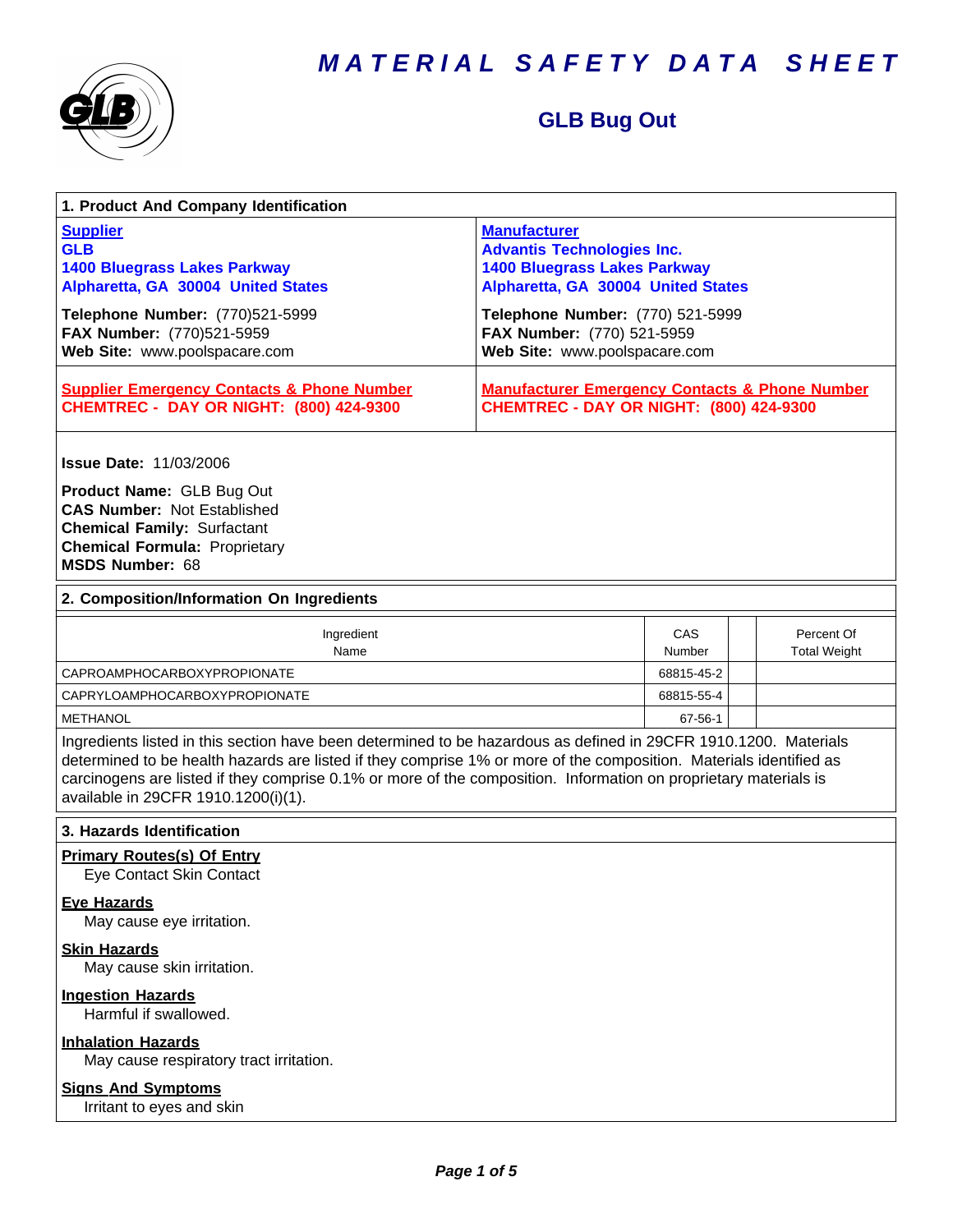

# **GLB Bug Out**

| 1. Product And Company Identification                                                                                                                                                                                                                                                                                                                                                             |                                                                                                                                                                           |               |  |                                   |
|---------------------------------------------------------------------------------------------------------------------------------------------------------------------------------------------------------------------------------------------------------------------------------------------------------------------------------------------------------------------------------------------------|---------------------------------------------------------------------------------------------------------------------------------------------------------------------------|---------------|--|-----------------------------------|
| <b>Supplier</b><br><b>GLB</b><br><b>1400 Bluegrass Lakes Parkway</b><br>Alpharetta, GA 30004 United States<br>Telephone Number: (770)521-5999                                                                                                                                                                                                                                                     | <b>Manufacturer</b><br><b>Advantis Technologies Inc.</b><br><b>1400 Bluegrass Lakes Parkway</b><br>Alpharetta, GA 30004 United States<br>Telephone Number: (770) 521-5999 |               |  |                                   |
| FAX Number: (770)521-5959<br>Web Site: www.poolspacare.com                                                                                                                                                                                                                                                                                                                                        | FAX Number: (770) 521-5959<br>Web Site: www.poolspacare.com                                                                                                               |               |  |                                   |
| <b>Supplier Emergency Contacts &amp; Phone Number</b><br><b>CHEMTREC - DAY OR NIGHT: (800) 424-9300</b>                                                                                                                                                                                                                                                                                           | <b>Manufacturer Emergency Contacts &amp; Phone Number</b><br><b>CHEMTREC - DAY OR NIGHT: (800) 424-9300</b>                                                               |               |  |                                   |
| <b>Issue Date: 11/03/2006</b>                                                                                                                                                                                                                                                                                                                                                                     |                                                                                                                                                                           |               |  |                                   |
| Product Name: GLB Bug Out<br><b>CAS Number: Not Established</b><br><b>Chemical Family: Surfactant</b><br><b>Chemical Formula: Proprietary</b><br><b>MSDS Number: 68</b>                                                                                                                                                                                                                           |                                                                                                                                                                           |               |  |                                   |
| 2. Composition/Information On Ingredients                                                                                                                                                                                                                                                                                                                                                         |                                                                                                                                                                           |               |  |                                   |
| Ingredient<br>Name                                                                                                                                                                                                                                                                                                                                                                                |                                                                                                                                                                           | CAS<br>Number |  | Percent Of<br><b>Total Weight</b> |
| <b>CAPROAMPHOCARBOXYPROPIONATE</b>                                                                                                                                                                                                                                                                                                                                                                |                                                                                                                                                                           | 68815-45-2    |  |                                   |
| <b>CAPRYLOAMPHOCARBOXYPROPIONATE</b>                                                                                                                                                                                                                                                                                                                                                              |                                                                                                                                                                           | 68815-55-4    |  |                                   |
| <b>METHANOL</b>                                                                                                                                                                                                                                                                                                                                                                                   |                                                                                                                                                                           | 67-56-1       |  |                                   |
| Ingredients listed in this section have been determined to be hazardous as defined in 29CFR 1910.1200. Materials<br>determined to be health hazards are listed if they comprise 1% or more of the composition. Materials identified as<br>carcinogens are listed if they comprise 0.1% or more of the composition. Information on proprietary materials is<br>available in 29CFR 1910.1200(i)(1). |                                                                                                                                                                           |               |  |                                   |
| 3. Hazards Identification                                                                                                                                                                                                                                                                                                                                                                         |                                                                                                                                                                           |               |  |                                   |
| <b>Primary Routes(s) Of Entry</b><br>Eye Contact Skin Contact                                                                                                                                                                                                                                                                                                                                     |                                                                                                                                                                           |               |  |                                   |
| <b>Eye Hazards</b><br>May cause eye irritation.                                                                                                                                                                                                                                                                                                                                                   |                                                                                                                                                                           |               |  |                                   |
| <b>Skin Hazards</b><br>May cause skin irritation.                                                                                                                                                                                                                                                                                                                                                 |                                                                                                                                                                           |               |  |                                   |
| <b>Ingestion Hazards</b><br>Harmful if swallowed.                                                                                                                                                                                                                                                                                                                                                 |                                                                                                                                                                           |               |  |                                   |
| <b>Inhalation Hazards</b><br>May cause respiratory tract irritation.                                                                                                                                                                                                                                                                                                                              |                                                                                                                                                                           |               |  |                                   |
| <b>Signs And Symptoms</b><br>Irritant to eyes and skin                                                                                                                                                                                                                                                                                                                                            |                                                                                                                                                                           |               |  |                                   |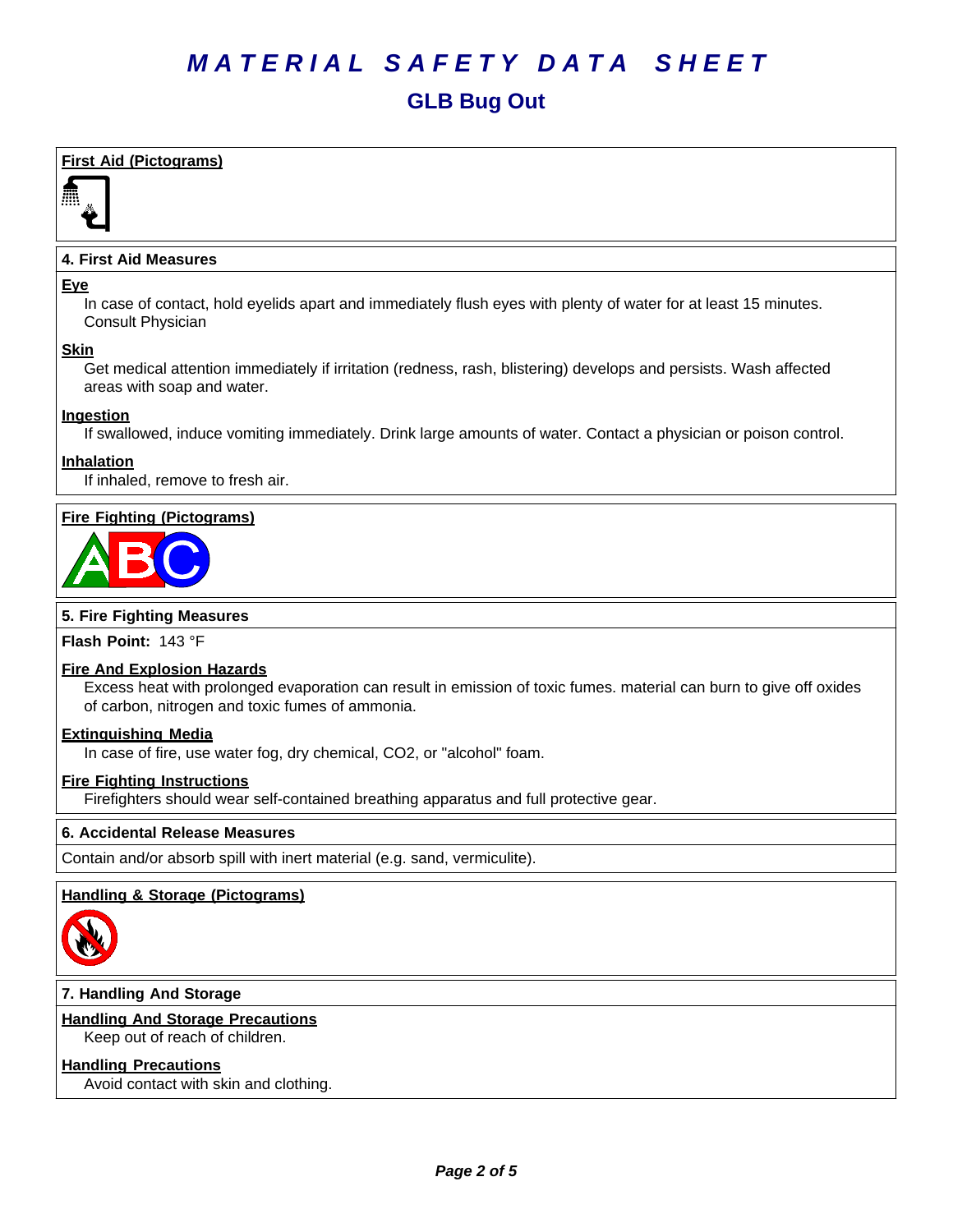# *MATERIAL SAFETY DATA SHEET* **GLB Bug Out**

# **First Aid (Pictograms)**



# **4. First Aid Measures**

#### **Eye**

In case of contact, hold eyelids apart and immediately flush eyes with plenty of water for at least 15 minutes. Consult Physician

#### **Skin**

Get medical attention immediately if irritation (redness, rash, blistering) develops and persists. Wash affected areas with soap and water.

#### **Ingestion**

If swallowed, induce vomiting immediately. Drink large amounts of water. Contact a physician or poison control.

### **Inhalation**

If inhaled, remove to fresh air.

# **Fire Fighting (Pictograms)**



#### **5. Fire Fighting Measures**

**Flash Point:** 143°F

#### **Fire And Explosion Hazards**

Excess heat with prolonged evaporation can result in emission of toxic fumes. material can burn to give off oxides of carbon, nitrogen and toxic fumes of ammonia.

#### **Extinguishing Media**

In case of fire, use water fog, dry chemical, CO2, or "alcohol" foam.

#### **Fire Fighting Instructions**

Firefighters should wear self-contained breathing apparatus and full protective gear.

#### **6.Accidental ReleaseMeasures**

Contain and/or absorb spill with inert material (e.g. sand, vermiculite).

#### **Handling & Storage (Pictograms)**



# **7. Handling And Storage**

#### **Handling And Storage Precautions**

Keep out of reach of children.

#### **Handling Precautions**

Avoid contact with skin and clothing.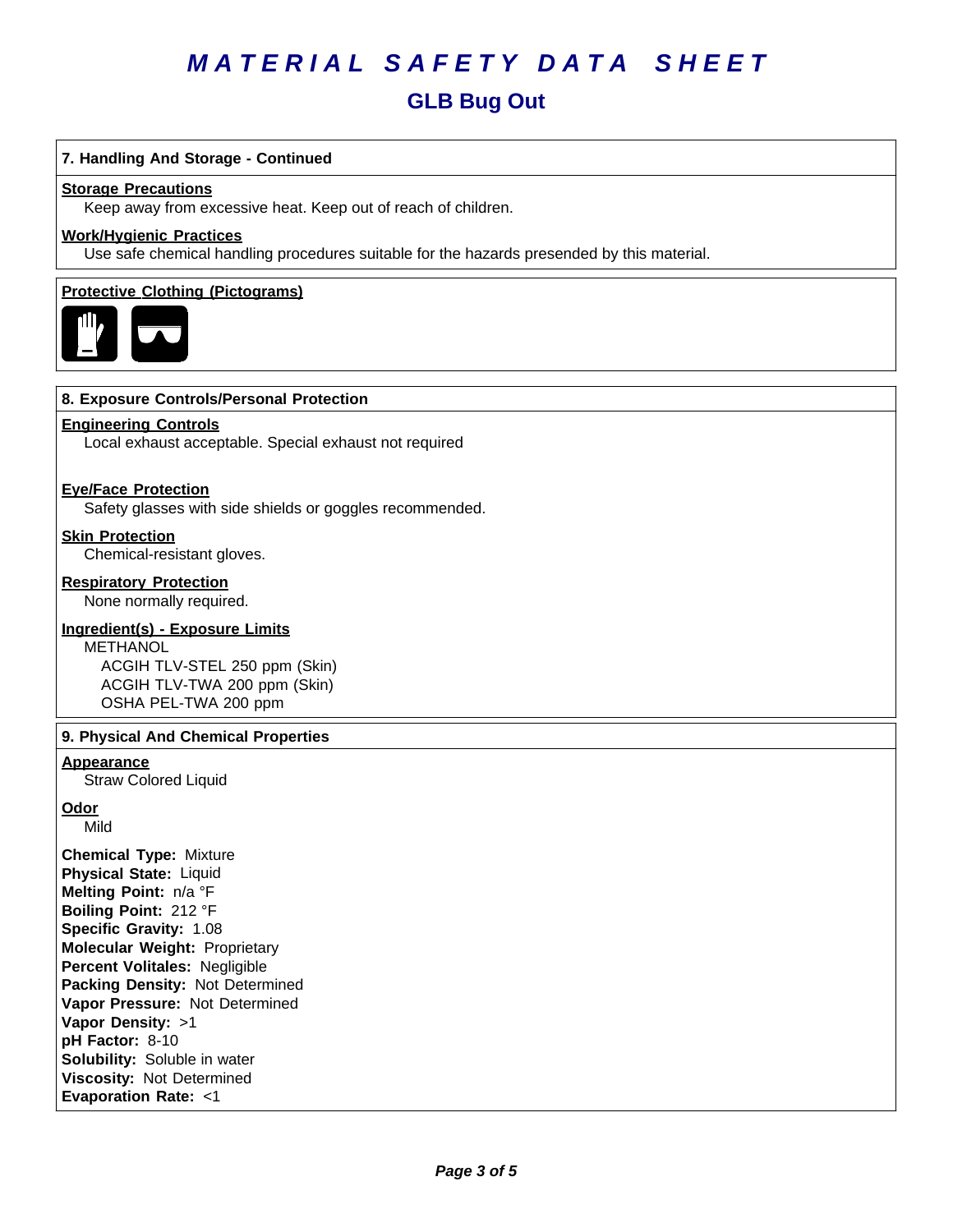# **GLB Bug Out**

### **7. Handling And Storage - Continued**

#### **Storage Precautions**

Keep away from excessive heat. Keep out of reach of children.

# **Work/Hygienic Practices**

Use safe chemical handling procedures suitable for the hazards presended by this material.

#### **Protective Clothing (Pictograms)**



#### **8. Exposure Controls/Personal Protection**

#### **Engineering Controls**

Local exhaust acceptable. Special exhaust not required

#### **Eye/Face Protection**

Safety glasses with side shields or goggles recommended.

#### **Skin Protection**

Chemical-resistant gloves.

#### **Respiratory Protection**

None normally required.

#### **Ingredient(s) - Exposure Limits**

METHANOL ACGIH TLV-STEL 250 ppm (Skin) ACGIH TLV-TWA 200 ppm (Skin) OSHA PEL-TWA 200 ppm

#### **9. Physical And Chemical Properties**

#### **Appearance**

Straw Colored Liquid

**Odor**

Mild

**Chemical Type:** Mixture **Physical State:** Liquid **Melting Point:** n/a°F **Boiling Point:** 212°F **Specific Gravity:** 1.08 **Molecular Weight:** Proprietary **Percent Volitales:** Negligible **Packing Density:** Not Determined **Vapor Pressure:** Not Determined **Vapor Density:** >1 **pH Factor:** 8-10 **Solubility:** Soluble in water **Viscosity: Not Determined Evaporation Rate:** <1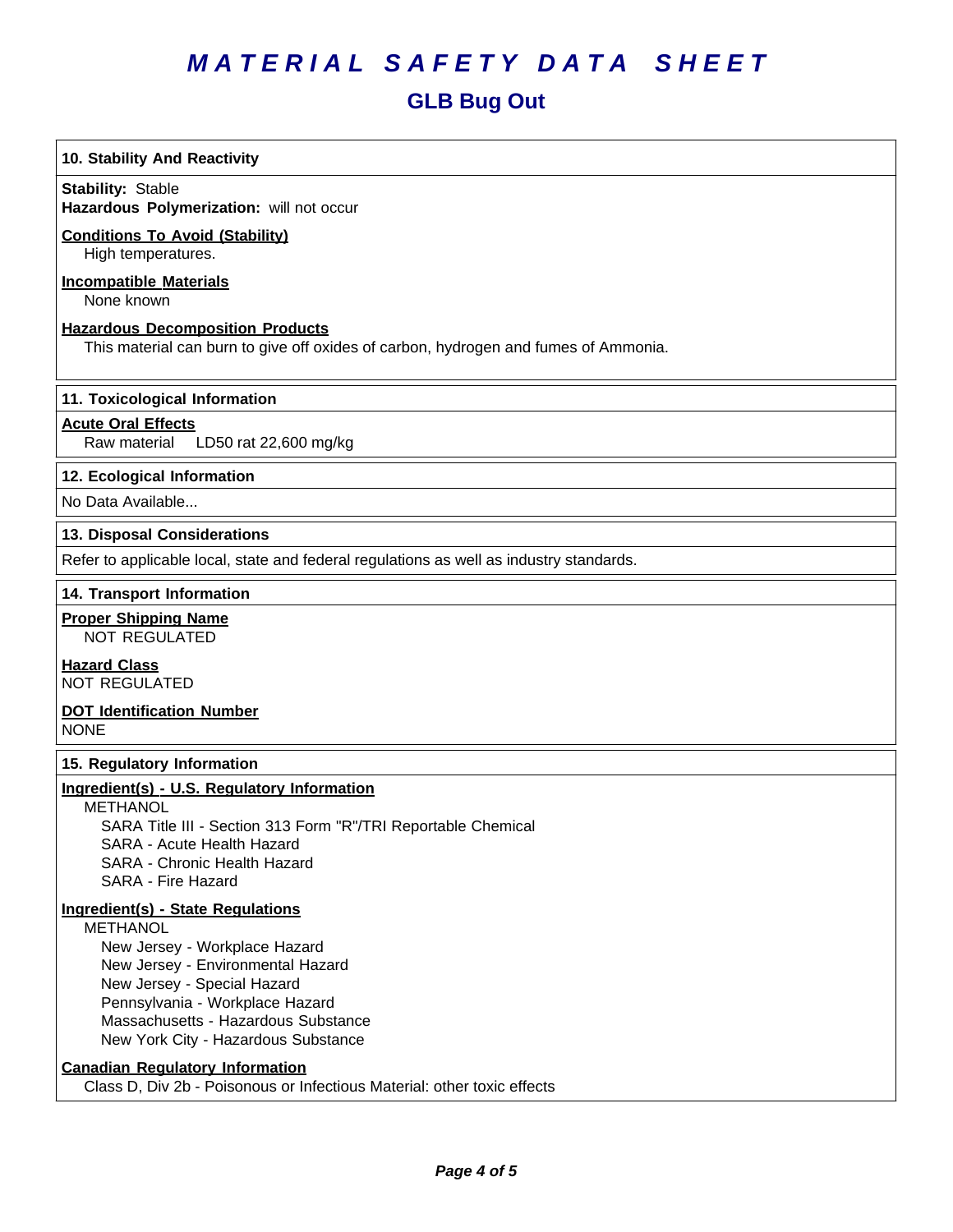# **GLB Bug Out**

# **10. Stability And Reactivity**

**Stability: Stable** 

**Hazardous Polymerization:** will not occur

# **Conditions To Avoid (Stability)**

High temperatures.

# **Incompatible Materials**

None known

#### **Hazardous Decomposition Products**

This material can burn to give off oxides of carbon, hydrogen and fumes of Ammonia.

# **11. Toxicological Information**

# **Acute Oral Effects**

Raw material LD50 rat 22,600 mg/kg

# **12. Ecological Information**

No Data Available...

#### **13. Disposal Considerations**

Refer to applicable local, state and federal regulations as well as industry standards.

#### **14. Transport Information**

# **Proper Shipping Name**

NOT REGULATED

# **Hazard Class**

NOT REGULATED

#### **DOT Identification Number** NONE

**15. Regulatory Information**

# **Ingredient(s) - U.S. Regulatory Information**

METHANOL SARA Title III - Section 313 Form "R"/TRI Reportable Chemical SARA - Acute Health Hazard SARA - Chronic Health Hazard SARA - Fire Hazard

## **Ingredient(s) - State Regulations**

METHANOL

 New Jersey - Workplace Hazard New Jersey - Environmental Hazard New Jersey - Special Hazard Pennsylvania - Workplace Hazard Massachusetts - Hazardous Substance New York City - Hazardous Substance

# **Canadian Regulatory Information**

Class D, Div 2b - Poisonous or Infectious Material: other toxic effects